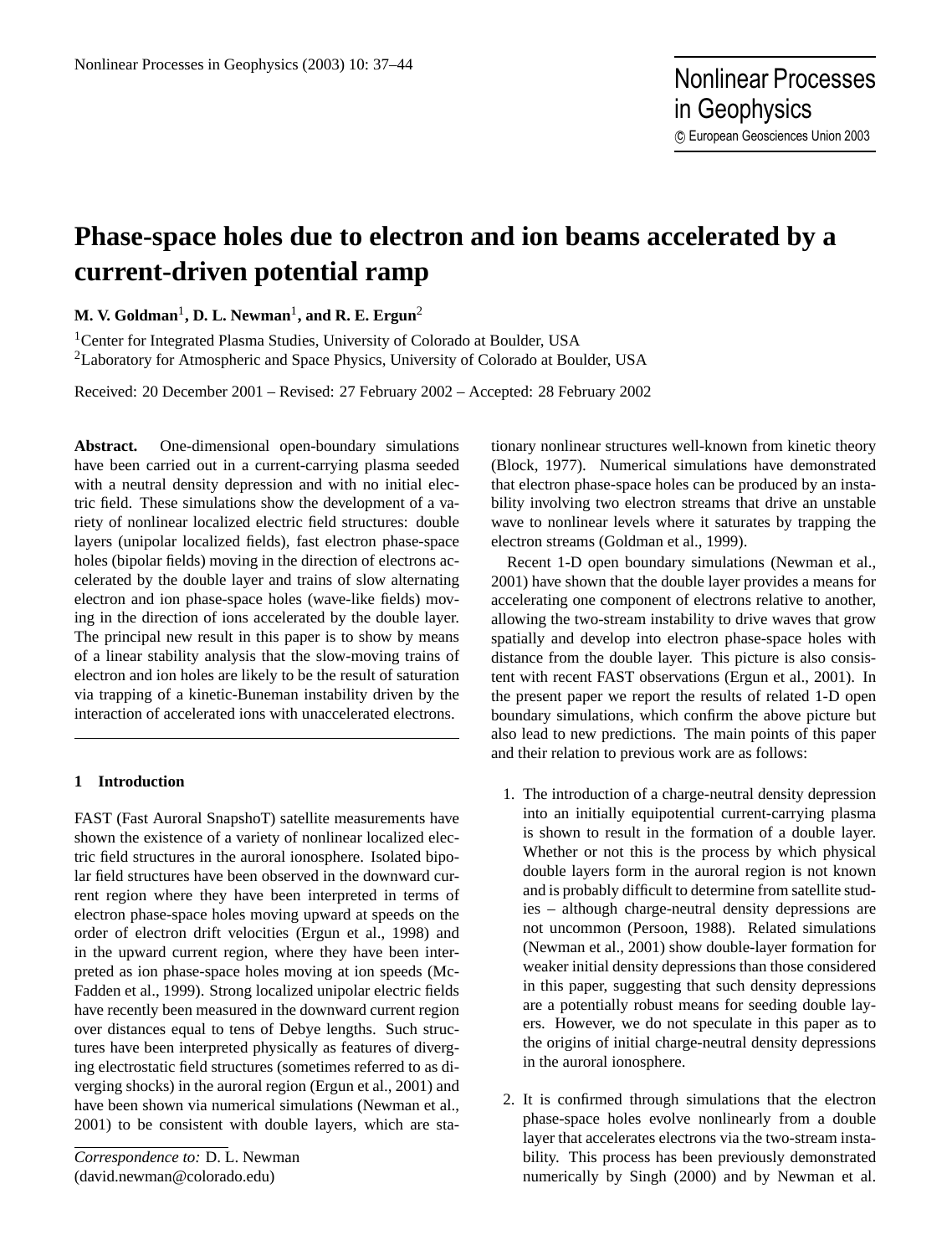# **Phase-space holes due to electron and ion beams accelerated by a current-driven potential ramp**

 $\mathbf{M. V.~Goldman}^{1}, \mathbf{D. L.~Newman}^{1}, \mathbf{and~R.~E.~Ergun}^{2}$ 

<sup>1</sup>Center for Integrated Plasma Studies, University of Colorado at Boulder, USA <sup>2</sup>Laboratory for Atmospheric and Space Physics, University of Colorado at Boulder, USA

Received: 20 December 2001 – Revised: 27 February 2002 – Accepted: 28 February 2002

**Abstract.** One-dimensional open-boundary simulations have been carried out in a current-carrying plasma seeded with a neutral density depression and with no initial electric field. These simulations show the development of a variety of nonlinear localized electric field structures: double layers (unipolar localized fields), fast electron phase-space holes (bipolar fields) moving in the direction of electrons accelerated by the double layer and trains of slow alternating electron and ion phase-space holes (wave-like fields) moving in the direction of ions accelerated by the double layer. The principal new result in this paper is to show by means of a linear stability analysis that the slow-moving trains of electron and ion holes are likely to be the result of saturation via trapping of a kinetic-Buneman instability driven by the interaction of accelerated ions with unaccelerated electrons.

# **1 Introduction**

FAST (Fast Auroral SnapshoT) satellite measurements have shown the existence of a variety of nonlinear localized electric field structures in the auroral ionosphere. Isolated bipolar field structures have been observed in the downward current region where they have been interpreted in terms of electron phase-space holes moving upward at speeds on the order of electron drift velocities (Ergun et al., 1998) and in the upward current region, where they have been interpreted as ion phase-space holes moving at ion speeds (Mc-Fadden et al., 1999). Strong localized unipolar electric fields have recently been measured in the downward current region over distances equal to tens of Debye lengths. Such structures have been interpreted physically as features of diverging electrostatic field structures (sometimes referred to as diverging shocks) in the auroral region (Ergun et al., 2001) and have been shown via numerical simulations (Newman et al., 2001) to be consistent with double layers, which are stationary nonlinear structures well-known from kinetic theory (Block, 1977). Numerical simulations have demonstrated that electron phase-space holes can be produced by an instability involving two electron streams that drive an unstable wave to nonlinear levels where it saturates by trapping the electron streams (Goldman et al., 1999).

Recent 1-D open boundary simulations (Newman et al., 2001) have shown that the double layer provides a means for accelerating one component of electrons relative to another, allowing the two-stream instability to drive waves that grow spatially and develop into electron phase-space holes with distance from the double layer. This picture is also consistent with recent FAST observations (Ergun et al., 2001). In the present paper we report the results of related 1-D open boundary simulations, which confirm the above picture but also lead to new predictions. The main points of this paper and their relation to previous work are as follows:

- 1. The introduction of a charge-neutral density depression into an initially equipotential current-carrying plasma is shown to result in the formation of a double layer. Whether or not this is the process by which physical double layers form in the auroral region is not known and is probably difficult to determine from satellite studies – although charge-neutral density depressions are not uncommon (Persoon, 1988). Related simulations (Newman et al., 2001) show double-layer formation for weaker initial density depressions than those considered in this paper, suggesting that such density depressions are a potentially robust means for seeding double layers. However, we do not speculate in this paper as to the origins of initial charge-neutral density depressions in the auroral ionosphere.
- 2. It is confirmed through simulations that the electron phase-space holes evolve nonlinearly from a double layer that accelerates electrons via the two-stream instability. This process has been previously demonstrated numerically by Singh (2000) and by Newman et al.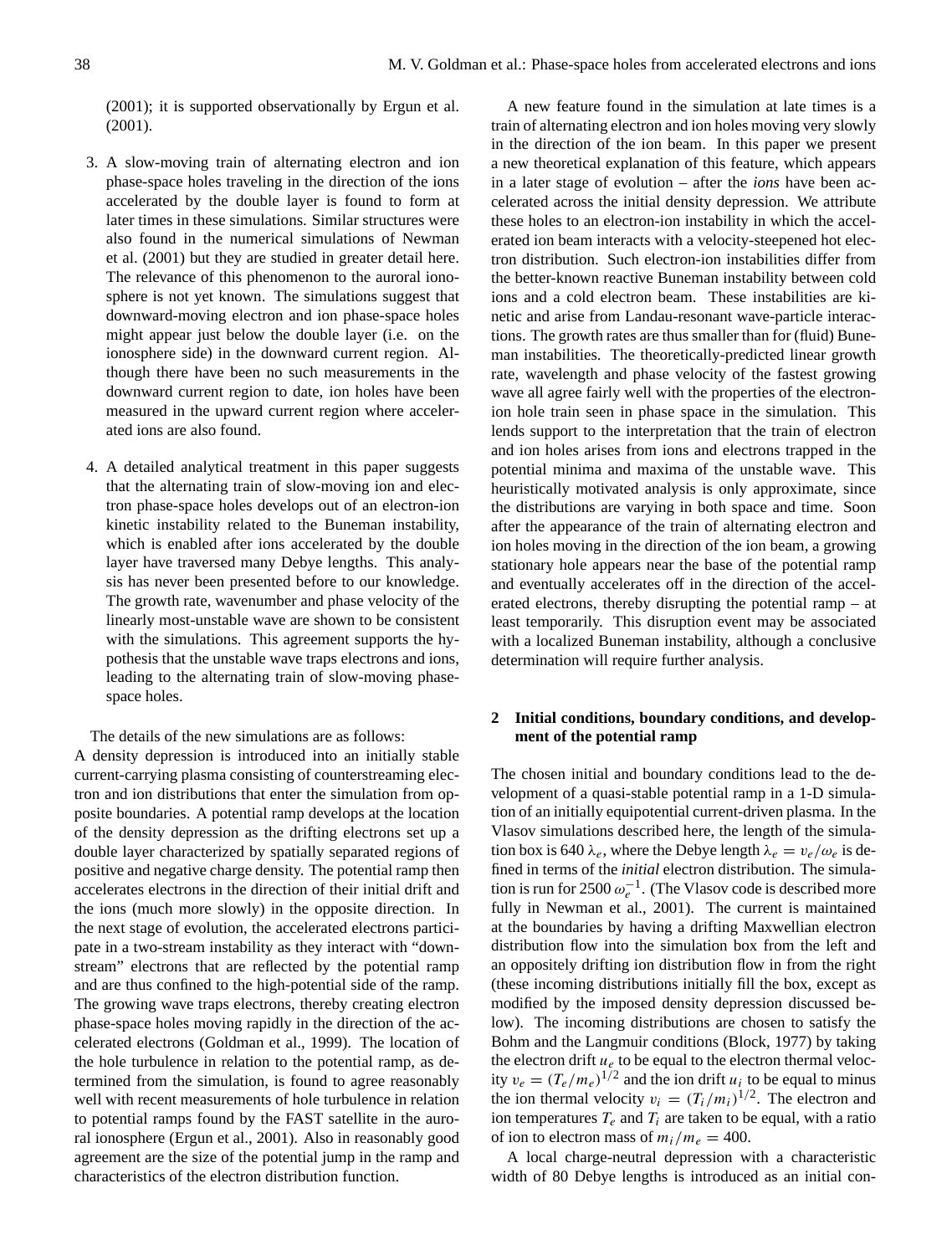(2001); it is supported observationally by Ergun et al. (2001).

- 3. A slow-moving train of alternating electron and ion phase-space holes traveling in the direction of the ions accelerated by the double layer is found to form at later times in these simulations. Similar structures were also found in the numerical simulations of Newman et al. (2001) but they are studied in greater detail here. The relevance of this phenomenon to the auroral ionosphere is not yet known. The simulations suggest that downward-moving electron and ion phase-space holes might appear just below the double layer (i.e. on the ionosphere side) in the downward current region. Although there have been no such measurements in the downward current region to date, ion holes have been measured in the upward current region where accelerated ions are also found.
- 4. A detailed analytical treatment in this paper suggests that the alternating train of slow-moving ion and electron phase-space holes develops out of an electron-ion kinetic instability related to the Buneman instability, which is enabled after ions accelerated by the double layer have traversed many Debye lengths. This analysis has never been presented before to our knowledge. The growth rate, wavenumber and phase velocity of the linearly most-unstable wave are shown to be consistent with the simulations. This agreement supports the hypothesis that the unstable wave traps electrons and ions, leading to the alternating train of slow-moving phasespace holes.

The details of the new simulations are as follows:

A density depression is introduced into an initially stable current-carrying plasma consisting of counterstreaming electron and ion distributions that enter the simulation from opposite boundaries. A potential ramp develops at the location of the density depression as the drifting electrons set up a double layer characterized by spatially separated regions of positive and negative charge density. The potential ramp then accelerates electrons in the direction of their initial drift and the ions (much more slowly) in the opposite direction. In the next stage of evolution, the accelerated electrons participate in a two-stream instability as they interact with "downstream" electrons that are reflected by the potential ramp and are thus confined to the high-potential side of the ramp. The growing wave traps electrons, thereby creating electron phase-space holes moving rapidly in the direction of the accelerated electrons (Goldman et al., 1999). The location of the hole turbulence in relation to the potential ramp, as determined from the simulation, is found to agree reasonably well with recent measurements of hole turbulence in relation to potential ramps found by the FAST satellite in the auroral ionosphere (Ergun et al., 2001). Also in reasonably good agreement are the size of the potential jump in the ramp and characteristics of the electron distribution function.

A new feature found in the simulation at late times is a train of alternating electron and ion holes moving very slowly in the direction of the ion beam. In this paper we present a new theoretical explanation of this feature, which appears in a later stage of evolution – after the *ions* have been accelerated across the initial density depression. We attribute these holes to an electron-ion instability in which the accelerated ion beam interacts with a velocity-steepened hot electron distribution. Such electron-ion instabilities differ from the better-known reactive Buneman instability between cold ions and a cold electron beam. These instabilities are kinetic and arise from Landau-resonant wave-particle interactions. The growth rates are thus smaller than for (fluid) Buneman instabilities. The theoretically-predicted linear growth rate, wavelength and phase velocity of the fastest growing wave all agree fairly well with the properties of the electronion hole train seen in phase space in the simulation. This lends support to the interpretation that the train of electron and ion holes arises from ions and electrons trapped in the potential minima and maxima of the unstable wave. This heuristically motivated analysis is only approximate, since the distributions are varying in both space and time. Soon after the appearance of the train of alternating electron and ion holes moving in the direction of the ion beam, a growing stationary hole appears near the base of the potential ramp and eventually accelerates off in the direction of the accelerated electrons, thereby disrupting the potential ramp – at least temporarily. This disruption event may be associated with a localized Buneman instability, although a conclusive determination will require further analysis.

## **2 Initial conditions, boundary conditions, and development of the potential ramp**

The chosen initial and boundary conditions lead to the development of a quasi-stable potential ramp in a 1-D simulation of an initially equipotential current-driven plasma. In the Vlasov simulations described here, the length of the simulation box is 640  $\lambda_e$ , where the Debye length  $\lambda_e = v_e/\omega_e$  is defined in terms of the *initial* electron distribution. The simulation is run for 2500  $\omega_e^{-1}$ . (The Vlasov code is described more fully in Newman et al., 2001). The current is maintained at the boundaries by having a drifting Maxwellian electron distribution flow into the simulation box from the left and an oppositely drifting ion distribution flow in from the right (these incoming distributions initially fill the box, except as modified by the imposed density depression discussed below). The incoming distributions are chosen to satisfy the Bohm and the Langmuir conditions (Block, 1977) by taking the electron drift  $u_e$  to be equal to the electron thermal velocity  $v_e = (T_e/m_e)^{1/2}$  and the ion drift  $u_i$  to be equal to minus the ion thermal velocity  $v_i = (T_i/m_i)^{1/2}$ . The electron and ion temperatures  $T_e$  and  $T_i$  are taken to be equal, with a ratio of ion to electron mass of  $m_i/m_e = 400$ .

A local charge-neutral depression with a characteristic width of 80 Debye lengths is introduced as an initial con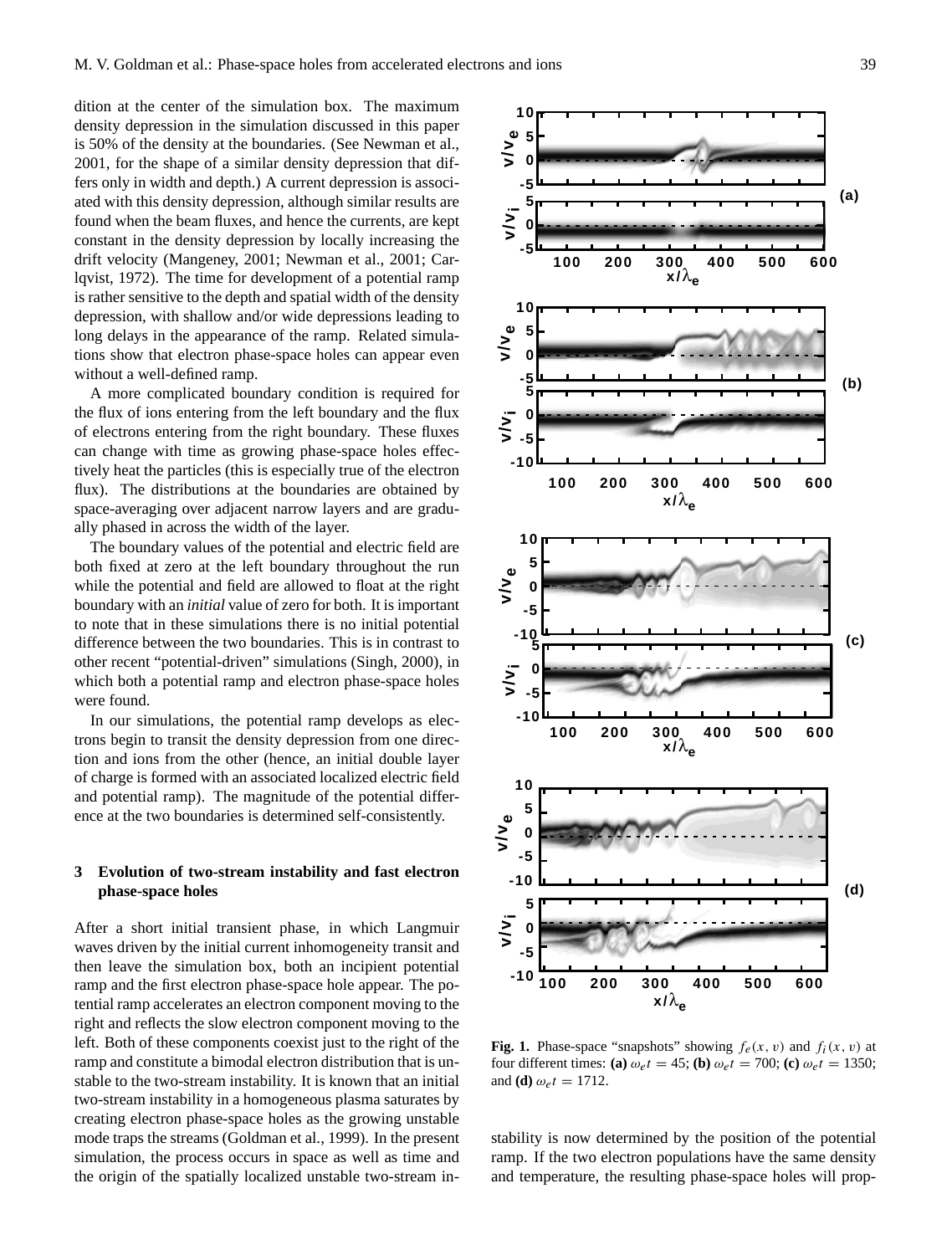dition at the center of the simulation box. The maximum density depression in the simulation discussed in this paper is 50% of the density at the boundaries. (See Newman et al., 2001, for the shape of a similar density depression that differs only in width and depth.) A current depression is associated with this density depression, although similar results are found when the beam fluxes, and hence the currents, are kept constant in the density depression by locally increasing the drift velocity (Mangeney, 2001; Newman et al., 2001; Carlqvist, 1972). The time for development of a potential ramp is rather sensitive to the depth and spatial width of the density depression, with shallow and/or wide depressions leading to long delays in the appearance of the ramp. Related simulations show that electron phase-space holes can appear even without a well-defined ramp.

A more complicated boundary condition is required for the flux of ions entering from the left boundary and the flux of electrons entering from the right boundary. These fluxes can change with time as growing phase-space holes effectively heat the particles (this is especially true of the electron flux). The distributions at the boundaries are obtained by space-averaging over adjacent narrow layers and are gradually phased in across the width of the layer.

The boundary values of the potential and electric field are both fixed at zero at the left boundary throughout the run while the potential and field are allowed to float at the right boundary with an *initial* value of zero for both. It is important to note that in these simulations there is no initial potential difference between the two boundaries. This is in contrast to other recent "potential-driven" simulations (Singh, 2000), in which both a potential ramp and electron phase-space holes were found.

In our simulations, the potential ramp develops as electrons begin to transit the density depression from one direction and ions from the other (hence, an initial double layer of charge is formed with an associated localized electric field and potential ramp). The magnitude of the potential difference at the two boundaries is determined self-consistently.

## **3 Evolution of two-stream instability and fast electron phase-space holes**

After a short initial transient phase, in which Langmuir waves driven by the initial current inhomogeneity transit and then leave the simulation box, both an incipient potential ramp and the first electron phase-space hole appear. The potential ramp accelerates an electron component moving to the right and reflects the slow electron component moving to the left. Both of these components coexist just to the right of the ramp and constitute a bimodal electron distribution that is unstable to the two-stream instability. It is known that an initial two-stream instability in a homogeneous plasma saturates by creating electron phase-space holes as the growing unstable mode traps the streams (Goldman et al., 1999). In the present simulation, the process occurs in space as well as time and the origin of the spatially localized unstable two-stream in-



**Fig. 1.** Phase-space "snapshots" showing  $f_e(x, v)$  and  $f_i(x, v)$  at four different times: **(a)**  $\omega_e t = 45$ ; **(b)**  $\omega_e t = 700$ ; **(c)**  $\omega_e t = 1350$ ; and **(d)**  $\omega_e t = 1712$ .

stability is now determined by the position of the potential ramp. If the two electron populations have the same density and temperature, the resulting phase-space holes will prop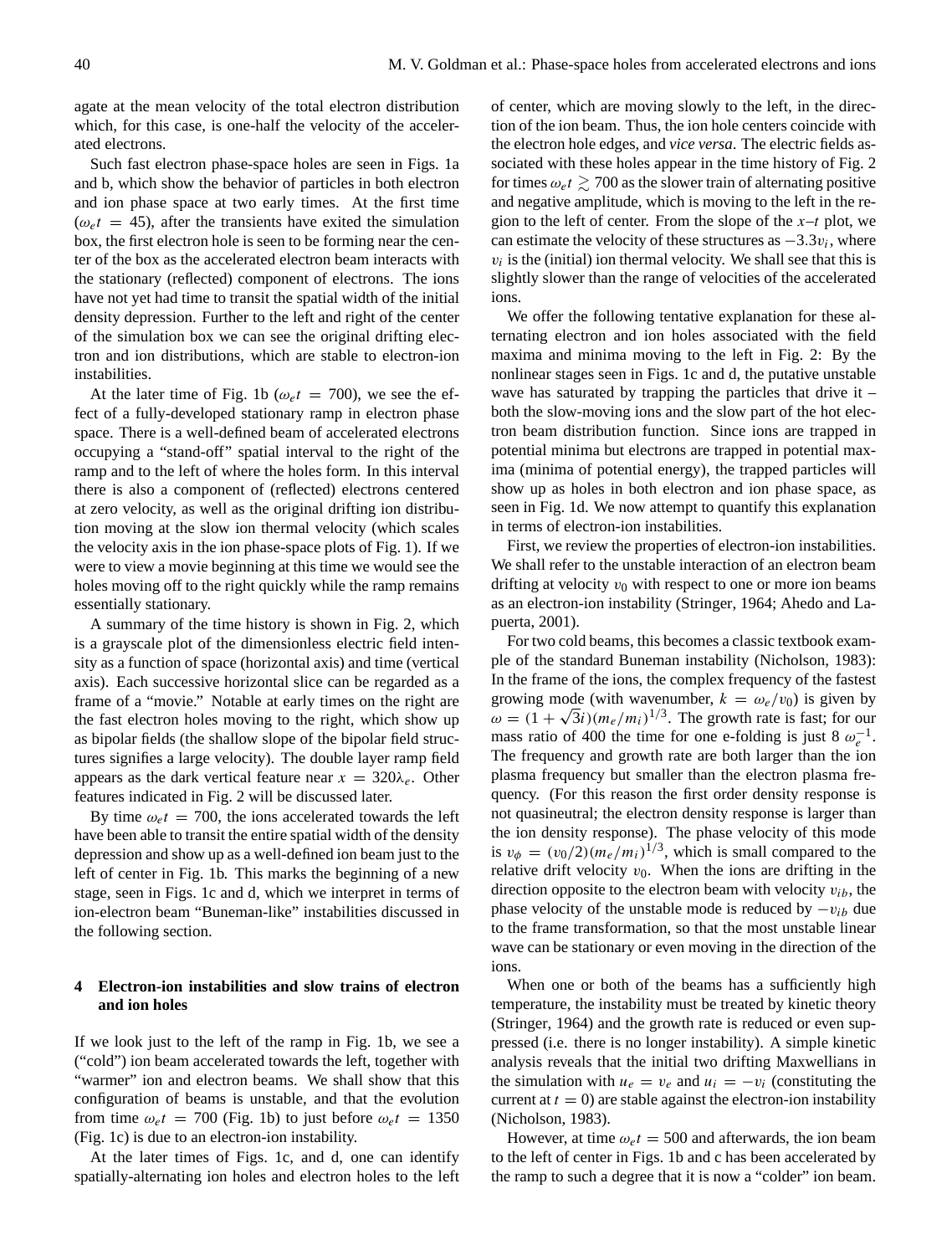agate at the mean velocity of the total electron distribution which, for this case, is one-half the velocity of the accelerated electrons.

Such fast electron phase-space holes are seen in Figs. 1a and b, which show the behavior of particles in both electron and ion phase space at two early times. At the first time  $(\omega_e t = 45)$ , after the transients have exited the simulation box, the first electron hole is seen to be forming near the center of the box as the accelerated electron beam interacts with the stationary (reflected) component of electrons. The ions have not yet had time to transit the spatial width of the initial density depression. Further to the left and right of the center of the simulation box we can see the original drifting electron and ion distributions, which are stable to electron-ion instabilities.

At the later time of Fig. 1b ( $\omega_e t = 700$ ), we see the effect of a fully-developed stationary ramp in electron phase space. There is a well-defined beam of accelerated electrons occupying a "stand-off" spatial interval to the right of the ramp and to the left of where the holes form. In this interval there is also a component of (reflected) electrons centered at zero velocity, as well as the original drifting ion distribution moving at the slow ion thermal velocity (which scales the velocity axis in the ion phase-space plots of Fig. 1). If we were to view a movie beginning at this time we would see the holes moving off to the right quickly while the ramp remains essentially stationary.

A summary of the time history is shown in Fig. 2, which is a grayscale plot of the dimensionless electric field intensity as a function of space (horizontal axis) and time (vertical axis). Each successive horizontal slice can be regarded as a frame of a "movie." Notable at early times on the right are the fast electron holes moving to the right, which show up as bipolar fields (the shallow slope of the bipolar field structures signifies a large velocity). The double layer ramp field appears as the dark vertical feature near  $x = 320\lambda_e$ . Other features indicated in Fig. 2 will be discussed later.

By time  $\omega_e t = 700$ , the ions accelerated towards the left have been able to transit the entire spatial width of the density depression and show up as a well-defined ion beam just to the left of center in Fig. 1b. This marks the beginning of a new stage, seen in Figs. 1c and d, which we interpret in terms of ion-electron beam "Buneman-like" instabilities discussed in the following section.

## **4 Electron-ion instabilities and slow trains of electron and ion holes**

If we look just to the left of the ramp in Fig. 1b, we see a ("cold") ion beam accelerated towards the left, together with "warmer" ion and electron beams. We shall show that this configuration of beams is unstable, and that the evolution from time  $\omega_{e}t = 700$  (Fig. 1b) to just before  $\omega_{e}t = 1350$ (Fig. 1c) is due to an electron-ion instability.

At the later times of Figs. 1c, and d, one can identify spatially-alternating ion holes and electron holes to the left of center, which are moving slowly to the left, in the direction of the ion beam. Thus, the ion hole centers coincide with the electron hole edges, and *vice versa*. The electric fields associated with these holes appear in the time history of Fig. 2 for times  $\omega_e t \gtrsim 700$  as the slower train of alternating positive and negative amplitude, which is moving to the left in the region to the left of center. From the slope of the  $x-t$  plot, we can estimate the velocity of these structures as  $-3.3v_i$ , where  $v_i$  is the (initial) ion thermal velocity. We shall see that this is slightly slower than the range of velocities of the accelerated ions.

We offer the following tentative explanation for these alternating electron and ion holes associated with the field maxima and minima moving to the left in Fig. 2: By the nonlinear stages seen in Figs. 1c and d, the putative unstable wave has saturated by trapping the particles that drive it  $$ both the slow-moving ions and the slow part of the hot electron beam distribution function. Since ions are trapped in potential minima but electrons are trapped in potential maxima (minima of potential energy), the trapped particles will show up as holes in both electron and ion phase space, as seen in Fig. 1d. We now attempt to quantify this explanation in terms of electron-ion instabilities.

First, we review the properties of electron-ion instabilities. We shall refer to the unstable interaction of an electron beam drifting at velocity  $v_0$  with respect to one or more ion beams as an electron-ion instability (Stringer, 1964; Ahedo and Lapuerta, 2001).

For two cold beams, this becomes a classic textbook example of the standard Buneman instability (Nicholson, 1983): In the frame of the ions, the complex frequency of the fastest growing mode (with wavenumber,  $k = \omega_e/v_0$ ) is given by  $\omega = (1 + \sqrt{3}i)(m_e/m_i)^{1/3}$ . The growth rate is fast; for our mass ratio of 400 the time for one e-folding is just 8  $\omega_e^{-1}$ . The frequency and growth rate are both larger than the ion plasma frequency but smaller than the electron plasma frequency. (For this reason the first order density response is not quasineutral; the electron density response is larger than the ion density response). The phase velocity of this mode is  $v_{\phi} = (v_0/2)(m_e/m_i)^{1/3}$ , which is small compared to the relative drift velocity  $v_0$ . When the ions are drifting in the direction opposite to the electron beam with velocity  $v_{ib}$ , the phase velocity of the unstable mode is reduced by  $-v_{ib}$  due to the frame transformation, so that the most unstable linear wave can be stationary or even moving in the direction of the ions.

When one or both of the beams has a sufficiently high temperature, the instability must be treated by kinetic theory (Stringer, 1964) and the growth rate is reduced or even suppressed (i.e. there is no longer instability). A simple kinetic analysis reveals that the initial two drifting Maxwellians in the simulation with  $u_e = v_e$  and  $u_i = -v_i$  (constituting the current at  $t = 0$ ) are stable against the electron-ion instability (Nicholson, 1983).

However, at time  $\omega_e t = 500$  and afterwards, the ion beam to the left of center in Figs. 1b and c has been accelerated by the ramp to such a degree that it is now a "colder" ion beam.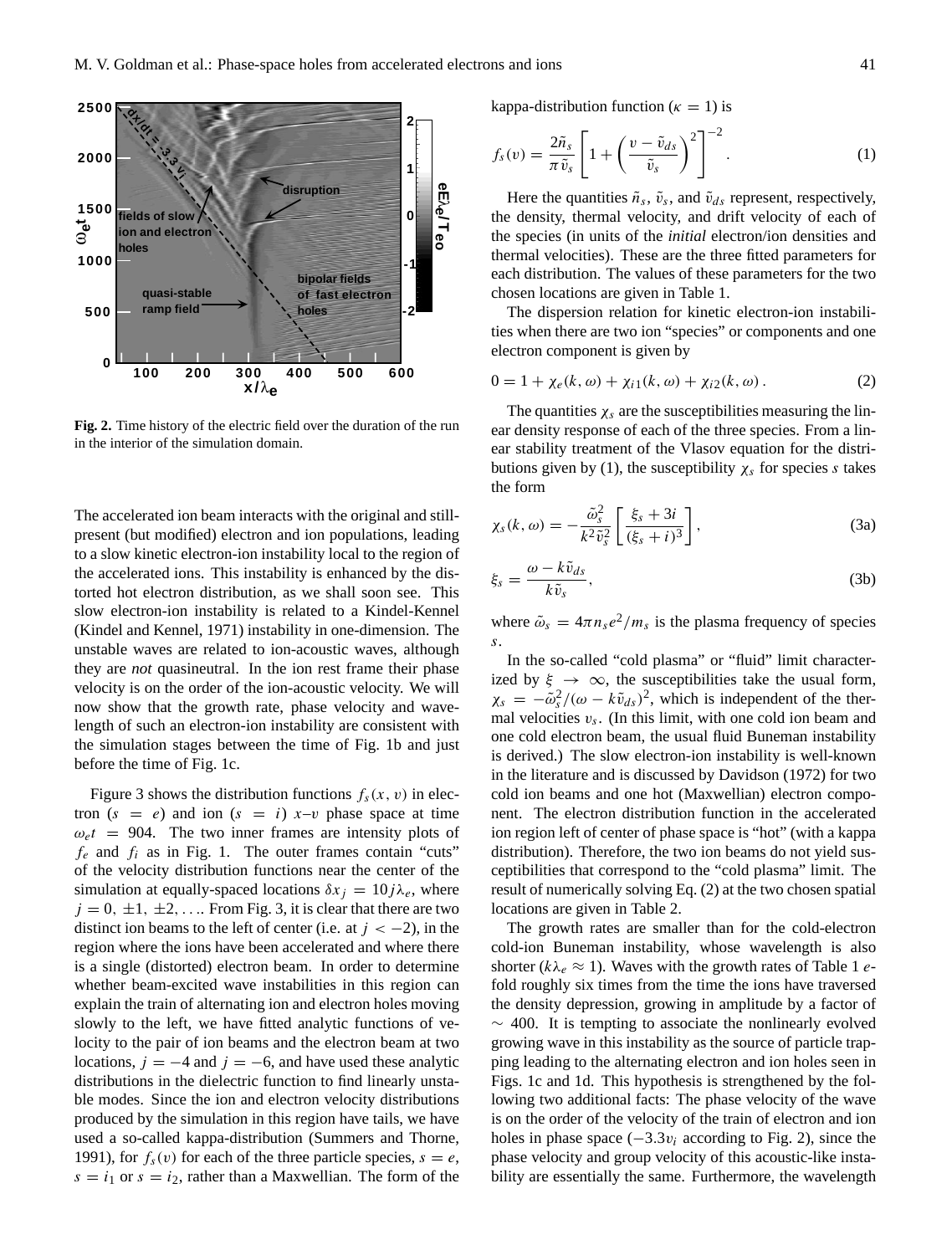

**Fig. 2.** Time history of the electric field over the duration of the run in the interior of the simulation domain.

The accelerated ion beam interacts with the original and stillpresent (but modified) electron and ion populations, leading to a slow kinetic electron-ion instability local to the region of the accelerated ions. This instability is enhanced by the distorted hot electron distribution, as we shall soon see. This slow electron-ion instability is related to a Kindel-Kennel (Kindel and Kennel, 1971) instability in one-dimension. The unstable waves are related to ion-acoustic waves, although they are *not* quasineutral. In the ion rest frame their phase velocity is on the order of the ion-acoustic velocity. We will now show that the growth rate, phase velocity and wavelength of such an electron-ion instability are consistent with the simulation stages between the time of Fig. 1b and just before the time of Fig. 1c.

Figure 3 shows the distribution functions  $f_s(x, v)$  in electron  $(s = e)$  and ion  $(s = i)$  x-v phase space at time  $\omega_e t = 904$ . The two inner frames are intensity plots of  $f_e$  and  $f_i$  as in Fig. 1. The outer frames contain "cuts" of the velocity distribution functions near the center of the simulation at equally-spaced locations  $\delta x_i = 10j\lambda_e$ , where  $j = 0, \pm 1, \pm 2, \ldots$  From Fig. 3, it is clear that there are two distinct ion beams to the left of center (i.e. at  $j < -2$ ), in the region where the ions have been accelerated and where there is a single (distorted) electron beam. In order to determine whether beam-excited wave instabilities in this region can explain the train of alternating ion and electron holes moving slowly to the left, we have fitted analytic functions of velocity to the pair of ion beams and the electron beam at two locations,  $j = -4$  and  $j = -6$ , and have used these analytic distributions in the dielectric function to find linearly unstable modes. Since the ion and electron velocity distributions produced by the simulation in this region have tails, we have used a so-called kappa-distribution (Summers and Thorne, 1991), for  $f_s(v)$  for each of the three particle species,  $s = e$ ,  $s = i_1$  or  $s = i_2$ , rather than a Maxwellian. The form of the kappa-distribution function ( $\kappa = 1$ ) is

$$
f_s(v) = \frac{2\tilde{n}_s}{\pi \tilde{v}_s} \left[ 1 + \left( \frac{v - \tilde{v}_{ds}}{\tilde{v}_s} \right)^2 \right]^{-2}.
$$
 (1)

Here the quantities  $\tilde{n}_s$ ,  $\tilde{v}_s$ , and  $\tilde{v}_{ds}$  represent, respectively, the density, thermal velocity, and drift velocity of each of the species (in units of the *initial* electron/ion densities and thermal velocities). These are the three fitted parameters for each distribution. The values of these parameters for the two chosen locations are given in Table 1.

The dispersion relation for kinetic electron-ion instabilities when there are two ion "species" or components and one electron component is given by

$$
0 = 1 + \chi_e(k, \omega) + \chi_{i1}(k, \omega) + \chi_{i2}(k, \omega).
$$
 (2)

The quantities  $\chi_s$  are the susceptibilities measuring the linear density response of each of the three species. From a linear stability treatment of the Vlasov equation for the distributions given by (1), the susceptibility  $\chi_s$  for species s takes the form

$$
\chi_s(k,\omega) = -\frac{\tilde{\omega}_s^2}{k^2 \tilde{v}_s^2} \left[ \frac{\xi_s + 3i}{(\xi_s + i)^3} \right],\tag{3a}
$$

$$
\xi_s = \frac{\omega - k\tilde{v}_{ds}}{k\tilde{v}_s},\tag{3b}
$$

where  $\tilde{\omega}_s = 4\pi n_s e^2/m_s$  is the plasma frequency of species s.

In the so-called "cold plasma" or "fluid" limit characterized by  $\xi \rightarrow \infty$ , the susceptibilities take the usual form,  $\chi_s = -\tilde{\omega}_s^2/(\omega - k\tilde{v}_{ds})^2$ , which is independent of the thermal velocities  $v_s$ . (In this limit, with one cold ion beam and one cold electron beam, the usual fluid Buneman instability is derived.) The slow electron-ion instability is well-known in the literature and is discussed by Davidson (1972) for two cold ion beams and one hot (Maxwellian) electron component. The electron distribution function in the accelerated ion region left of center of phase space is "hot" (with a kappa distribution). Therefore, the two ion beams do not yield susceptibilities that correspond to the "cold plasma" limit. The result of numerically solving Eq. (2) at the two chosen spatial locations are given in Table 2.

The growth rates are smaller than for the cold-electron cold-ion Buneman instability, whose wavelength is also shorter ( $k\lambda_e \approx 1$ ). Waves with the growth rates of Table 1 efold roughly six times from the time the ions have traversed the density depression, growing in amplitude by a factor of  $\sim$  400. It is tempting to associate the nonlinearly evolved growing wave in this instability as the source of particle trapping leading to the alternating electron and ion holes seen in Figs. 1c and 1d. This hypothesis is strengthened by the following two additional facts: The phase velocity of the wave is on the order of the velocity of the train of electron and ion holes in phase space  $(-3.3v_i$  according to Fig. 2), since the phase velocity and group velocity of this acoustic-like instability are essentially the same. Furthermore, the wavelength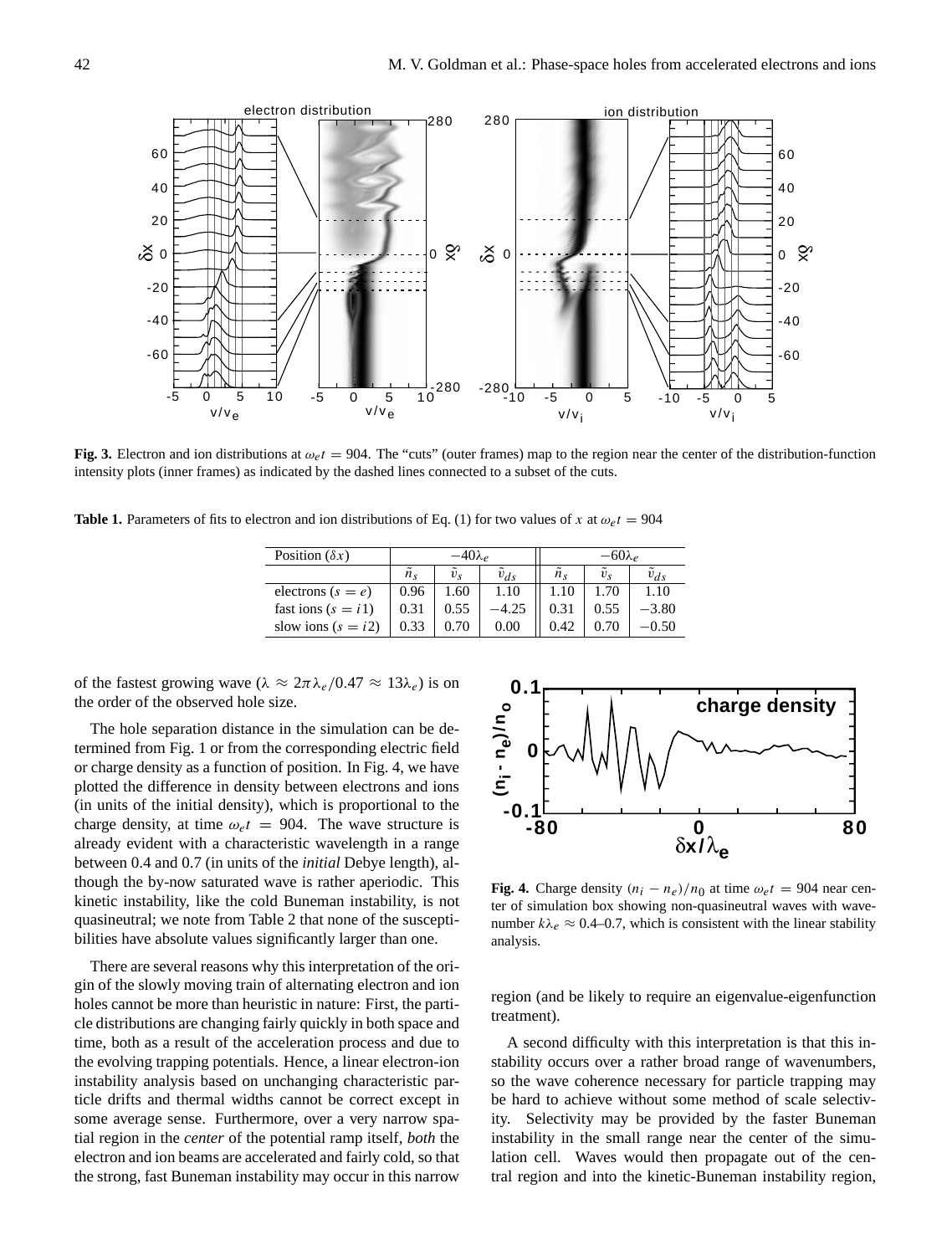**Fig. 3.** Electron and ion distributions at  $\omega_e t = 904$ . The "cuts" (outer frames) map to the region near the center of the distribution-function intensity plots (inner frames) as indicated by the dashed lines connected to a subset of the cuts.

**Table 1.** Parameters of fits to electron and ion distributions of Eq. (1) for two values of x at  $\omega_{e}t = 904$ 

| Position $(\delta x)$ | $-40\lambda_e$ |             |          | $-60\lambda_e$  |         |          |
|-----------------------|----------------|-------------|----------|-----------------|---------|----------|
|                       | $n_{\rm s}$    | $v_{\rm s}$ | $v_{ds}$ | $\tilde{n}_{s}$ | $v_{s}$ | $v_{ds}$ |
| electrons $(s = e)$   | 0.96           | 1.60        | 1.10     | 1.10            | 1.70    | 1.10     |
| fast ions $(s = i1)$  | 0.31           | 0.55        | -4.25    | 0.31            | 0.55    | $-3.80$  |
| slow ions $(s = i2)$  | 0.33           | 0.70        | 0.00     | 0.42            | 0.70    | -0.50    |

**0.1**

**0**

**(ni - n**

**e)/n o**

**-0.1**

of the fastest growing wave ( $\lambda \approx 2\pi \lambda_e/0.47 \approx 13\lambda_e$ ) is on the order of the observed hole size.

The hole separation distance in the simulation can be determined from Fig. 1 or from the corresponding electric field or charge density as a function of position. In Fig. 4, we have plotted the difference in density between electrons and ions (in units of the initial density), which is proportional to the charge density, at time  $\omega_e t = 904$ . The wave structure is already evident with a characteristic wavelength in a range between 0.4 and 0.7 (in units of the *initial* Debye length), although the by-now saturated wave is rather aperiodic. This kinetic instability, like the cold Buneman instability, is not quasineutral; we note from Table 2 that none of the susceptibilities have absolute values significantly larger than one.

There are several reasons why this interpretation of the origin of the slowly moving train of alternating electron and ion holes cannot be more than heuristic in nature: First, the particle distributions are changing fairly quickly in both space and time, both as a result of the acceleration process and due to the evolving trapping potentials. Hence, a linear electron-ion instability analysis based on unchanging characteristic particle drifts and thermal widths cannot be correct except in some average sense. Furthermore, over a very narrow spatial region in the *center* of the potential ramp itself, *both* the electron and ion beams are accelerated and fairly cold, so that the strong, fast Buneman instability may occur in this narrow



**-80 0 80** δ**x/**λ**<sup>e</sup> 0**

**charge density**

region (and be likely to require an eigenvalue-eigenfunction treatment).

A second difficulty with this interpretation is that this instability occurs over a rather broad range of wavenumbers, so the wave coherence necessary for particle trapping may be hard to achieve without some method of scale selectivity. Selectivity may be provided by the faster Buneman instability in the small range near the center of the simulation cell. Waves would then propagate out of the central region and into the kinetic-Buneman instability region,

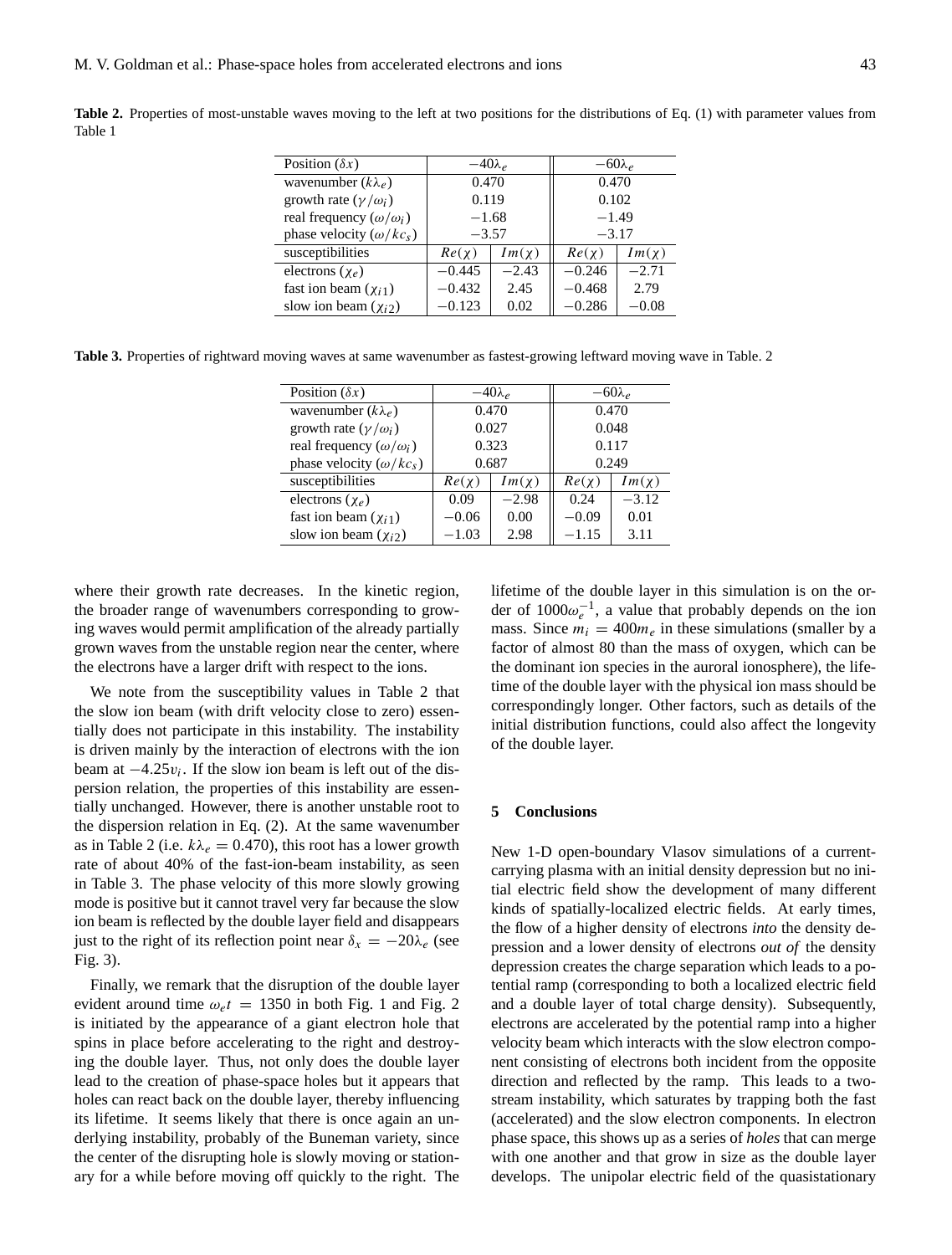**Table 2.** Properties of most-unstable waves moving to the left at two positions for the distributions of Eq. (1) with parameter values from Table 1

| Position $(\delta x)$              | $-40\lambda_e$ |            | $-60\lambda_e$ |            |
|------------------------------------|----------------|------------|----------------|------------|
| wavenumber $(k\lambda_e)$          | 0.470          |            | 0.470          |            |
| growth rate $(\gamma/\omega_i)$    | 0.119          |            | 0.102          |            |
| real frequency $(\omega/\omega_i)$ | $-1.68$        |            | $-1.49$        |            |
| phase velocity $(\omega/kc_s)$     | $-3.57$        |            | $-3.17$        |            |
| susceptibilities                   | $Re(\chi)$     | $Im(\chi)$ | $Re(\chi)$     | $Im(\chi)$ |
| electrons $(\chi_e)$               | $-0.445$       | $-2.43$    | $-0.246$       | $-2.71$    |
| fast ion beam $(\chi_{i1})$        | $-0.432$       | 2.45       | $-0.468$       | 2.79       |
| slow ion beam $(\chi_{i2})$        | $-0.123$       | 0.02       | $-0.286$       | $-0.08$    |

**Table 3.** Properties of rightward moving waves at same wavenumber as fastest-growing leftward moving wave in Table. 2

| Position $(\delta x)$              | $-40\lambda_e$ |            | $-60\lambda_e$ |            |  |
|------------------------------------|----------------|------------|----------------|------------|--|
| wavenumber $(k\lambda_e)$          | 0.470          |            | 0.470          |            |  |
| growth rate $(\gamma/\omega_i)$    | 0.027          |            | 0.048          |            |  |
| real frequency $(\omega/\omega_i)$ | 0.323          |            | 0.117          |            |  |
| phase velocity $(\omega/kc_s)$     | 0.687          |            | 0.249          |            |  |
| susceptibilities                   | $Re(\chi)$     | $Im(\chi)$ | $Re(\chi)$     | $Im(\chi)$ |  |
| electrons $(\chi_e)$               | 0.09           | $-2.98$    | 0.24           | $-3.12$    |  |
| fast ion beam $(\chi_{i1})$        | $-0.06$        | 0.00       | $-0.09$        | 0.01       |  |
| slow ion beam $(\chi_{i2})$        | $-1.03$        | 2.98       | $-1.15$        | 3.11       |  |

where their growth rate decreases. In the kinetic region, the broader range of wavenumbers corresponding to growing waves would permit amplification of the already partially grown waves from the unstable region near the center, where the electrons have a larger drift with respect to the ions.

We note from the susceptibility values in Table 2 that the slow ion beam (with drift velocity close to zero) essentially does not participate in this instability. The instability is driven mainly by the interaction of electrons with the ion beam at  $-4.25v_i$ . If the slow ion beam is left out of the dispersion relation, the properties of this instability are essentially unchanged. However, there is another unstable root to the dispersion relation in Eq. (2). At the same wavenumber as in Table 2 (i.e.  $k\lambda_e = 0.470$ ), this root has a lower growth rate of about 40% of the fast-ion-beam instability, as seen in Table 3. The phase velocity of this more slowly growing mode is positive but it cannot travel very far because the slow ion beam is reflected by the double layer field and disappears just to the right of its reflection point near  $\delta_x = -20\lambda_e$  (see Fig. 3).

Finally, we remark that the disruption of the double layer evident around time  $\omega_e t = 1350$  in both Fig. 1 and Fig. 2 is initiated by the appearance of a giant electron hole that spins in place before accelerating to the right and destroying the double layer. Thus, not only does the double layer lead to the creation of phase-space holes but it appears that holes can react back on the double layer, thereby influencing its lifetime. It seems likely that there is once again an underlying instability, probably of the Buneman variety, since the center of the disrupting hole is slowly moving or stationary for a while before moving off quickly to the right. The lifetime of the double layer in this simulation is on the order of  $1000\omega_e^{-1}$ , a value that probably depends on the ion mass. Since  $m_i = 400m_e$  in these simulations (smaller by a factor of almost 80 than the mass of oxygen, which can be the dominant ion species in the auroral ionosphere), the lifetime of the double layer with the physical ion mass should be correspondingly longer. Other factors, such as details of the initial distribution functions, could also affect the longevity of the double layer.

#### **5 Conclusions**

New 1-D open-boundary Vlasov simulations of a currentcarrying plasma with an initial density depression but no initial electric field show the development of many different kinds of spatially-localized electric fields. At early times, the flow of a higher density of electrons *into* the density depression and a lower density of electrons *out of* the density depression creates the charge separation which leads to a potential ramp (corresponding to both a localized electric field and a double layer of total charge density). Subsequently, electrons are accelerated by the potential ramp into a higher velocity beam which interacts with the slow electron component consisting of electrons both incident from the opposite direction and reflected by the ramp. This leads to a twostream instability, which saturates by trapping both the fast (accelerated) and the slow electron components. In electron phase space, this shows up as a series of *holes* that can merge with one another and that grow in size as the double layer develops. The unipolar electric field of the quasistationary